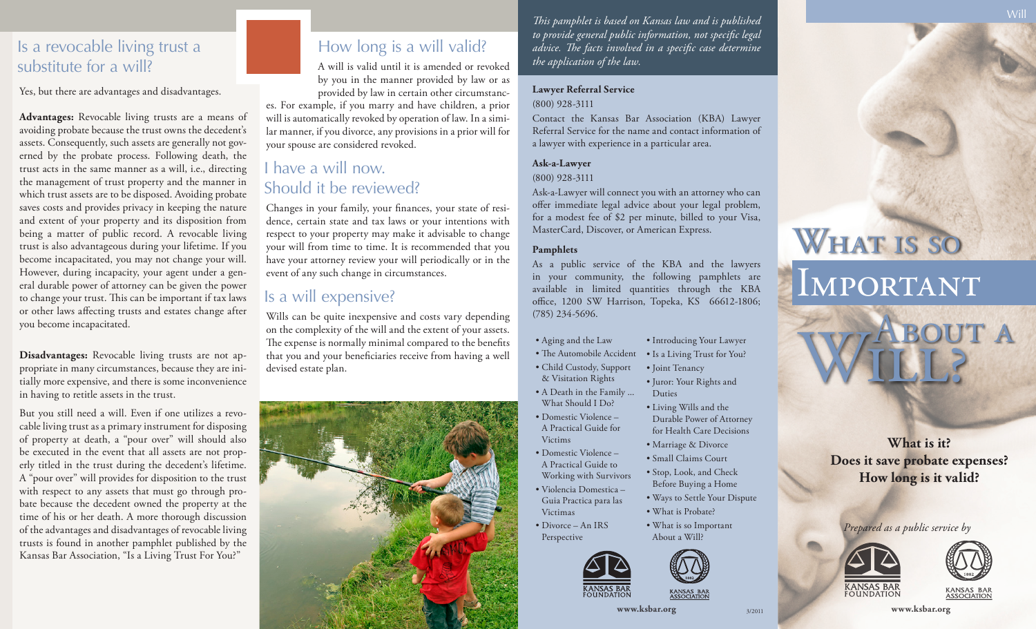#### Is a revocable living trust a substitute for a will?

Yes, but there are advantages and disadvantages.

**Advantages:** Revocable living trusts are a means of avoiding probate because the trust owns the decedent's assets. Consequently, such assets are generally not governed by the probate process. Following death, the trust acts in the same manner as a will, i.e., directing the management of trust property and the manner in which trust assets are to be disposed. Avoiding probate saves costs and provides privacy in keeping the nature and extent of your property and its disposition from being a matter of public record. A revocable living trust is also advantageous during your lifetime. If you become incapacitated, you may not change your will. However, during incapacity, your agent under a general durable power of attorney can be given the power to change your trust. This can be important if tax laws or other laws affecting trusts and estates change after you become incapacitated.

**Disadvantages:** Revocable living trusts are not appropriate in many circumstances, because they are initially more expensive, and there is some inconvenience in having to retitle assets in the trust.

But you still need a will. Even if one utilizes a revocable living trust as a primary instrument for disposing of property at death, a "pour over" will should also be executed in the event that all assets are not properly titled in the trust during the decedent's lifetime. A "pour over" will provides for disposition to the trust with respect to any assets that must go through probate because the decedent owned the property at the time of his or her death. A more thorough discussion of the advantages and disadvantages of revocable living trusts is found in another pamphlet published by the Kansas Bar Association, "Is a Living Trust For You?"

# How long is a will valid?

A will is valid until it is amended or revoked by you in the manner provided by law or as provided by law in certain other circumstanc-

es. For example, if you marry and have children, a prior will is automatically revoked by operation of law. In a similar manner, if you divorce, any provisions in a prior will for your spouse are considered revoked.

#### I have a will now. Should it be reviewed?

Changes in your family, your finances, your state of residence, certain state and tax laws or your intentions with respect to your property may make it advisable to change your will from time to time. It is recommended that you have your attorney review your will periodically or in the event of any such change in circumstances.

#### Is a will expensive?

Wills can be quite inexpensive and costs vary depending on the complexity of the will and the extent of your assets. The expense is normally minimal compared to the benefits that you and your beneficiaries receive from having a well devised estate plan.



*This pamphlet is based on Kansas law and is published to provide general public information, not specific legal advice. The facts involved in a specific case determine the application of the law.*

#### **Lawyer Referral Service** (800) 928-3111

Contact the Kansas Bar Association (KBA) Lawyer Referral Service for the name and contact information of a lawyer with experience in a particular area.

#### **Ask-a-Lawyer**

(800) 928-3111

Ask-a-Lawyer will connect you with an attorney who can offer immediate legal advice about your legal problem, for a modest fee of \$2 per minute, billed to your Visa, MasterCard, Discover, or American Express.

#### **Pamphlets**

As a public service of the KBA and the lawyers in your community, the following pamphlets are available in limited quantities through the KBA office, 1200 SW Harrison, Topeka, KS 66612-1806; (785) 234-5696.

- Aging and the Law
- The Automobile Accident • Is a Living Trust for You?

• Introducing Your Lawyer

• Living Wills and the Durable Power of Attorney for Health Care Decisions • Marriage & Divorce • Small Claims Court • Stop, Look, and Check Before Buying a Home • Ways to Settle Your Dispute

- Child Custody, Support • Joint Tenancy
- & Visitation Rights • Juror: Your Rights and Duties
- A Death in the Family ... What Should I Do?
- Domestic Violence A Practical Guide for Victims
- Domestic Violence –
- A Practical Guide to Working with Survivors
- Violencia Domestica Guia Practica para las Victimas
- Divorce An IRS Perspective





• What is Probate? • What is so Important About a Will?



3/2011

# WHAT IS SO

# Important



**What is it? Does it save probate expenses? How long is it valid?**

*Prepared as a public service by*





**www.ksbar.org www.ksbar.org**